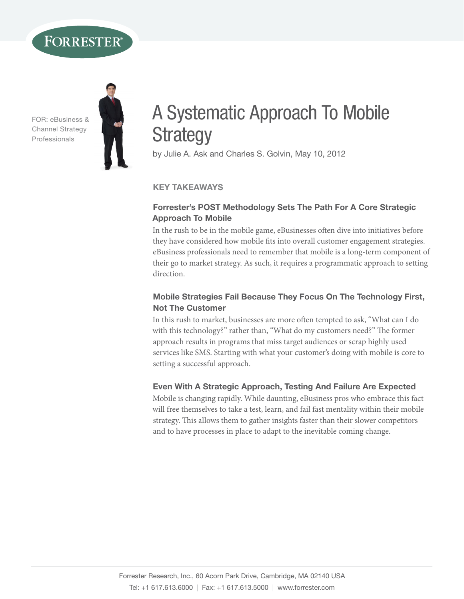## **FORRESTER®**

FOR: eBusiness & Channel strategy Professionals



# A Systematic Approach To Mobile **Strategy**

by Julie A. Ask and Charles S. Golvin, May 10, 2012

#### Key TaKeaWays

#### Forrester's POST Methodology Sets The Path For A Core Strategic approach To Mobile

In the rush to be in the mobile game, eBusinesses often dive into initiatives before they have considered how mobile fits into overall customer engagement strategies. eBusiness professionals need to remember that mobile is a long-term component of their go to market strategy. As such, it requires a programmatic approach to setting direction.

#### Mobile Strategies Fail Because They Focus On The Technology First, **Not The Customer**

In this rush to market, businesses are more often tempted to ask, "What can I do with this technology?" rather than, "What do my customers need?" The former approach results in programs that miss target audiences or scrap highly used services like SMS. Starting with what your customer's doing with mobile is core to setting a successful approach.

#### Even With A Strategic Approach, Testing And Failure Are Expected

Mobile is changing rapidly. While daunting, eBusiness pros who embrace this fact will free themselves to take a test, learn, and fail fast mentality within their mobile strategy. This allows them to gather insights faster than their slower competitors and to have processes in place to adapt to the inevitable coming change.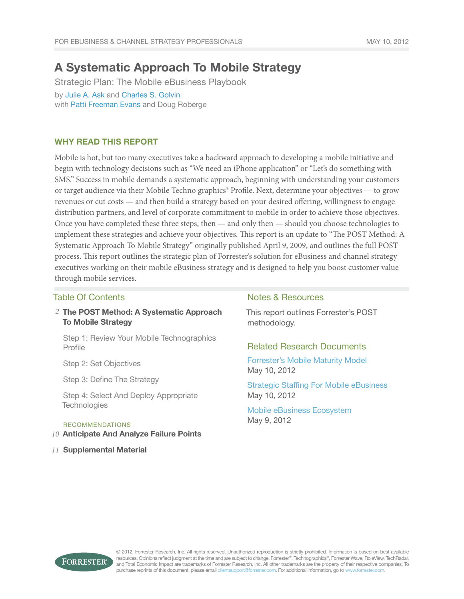### A Systematic Approach To Mobile Strategy

Strategic Plan: The Mobile eBusiness Playbook by [Julie A. Ask](http://www.forrester.com/go?objectid=BIO2298) and [Charles S. Golvin](http://www.forrester.com/go?objectid=BIO554) with [Patti Freeman Evans](http://www.forrester.com/go?objectid=BIO2295) and Doug Roberge

#### Why Read This Report

Mobile is hot, but too many executives take a backward approach to developing a mobile initiative and begin with technology decisions such as "We need an iPhone application" or "Let's do something with SMS." Success in mobile demands a systematic approach, beginning with understanding your customers or target audience via their Mobile Techno graphics® Profile. Next, determine your objectives — to grow revenues or cut costs — and then build a strategy based on your desired offering, willingness to engage distribution partners, and level of corporate commitment to mobile in order to achieve those objectives. Once you have completed these three steps, then — and only then — should you choose technologies to implement these strategies and achieve your objectives. This report is an update to "The POST Method: A Systematic Approach To Mobile Strategy" originally published April 9, 2009, and outlines the full POST process. This report outlines the strategic plan of Forrester's solution for eBusiness and channel strategy executives working on their mobile eBusiness strategy and is designed to help you boost customer value through mobile services.

#### Table Of Contents

2 The POST Method: A Systematic Approach To Mobile Strategy

Step 1: Review Your Mobile Technographics Profile

Step 2: Set Objectives

Step 3: Define The Strategy

Step 4: Select And Deploy Appropriate **Technologies** 

#### recommendations

- Anticipate And Analyze Failure Points *10*
- Supplemental Material *11*

#### Notes & Resources

This report outlines Forrester's POST methodology.

#### Related Research Documents

[Forrester's Mobile Maturity Model](http://www.forrester.com/go?objectid=RES57182) May 10, 2012

[Strategic Staffing For Mobile eBusiness](http://www.forrester.com/go?objectid=RES72225) May 10, 2012

[Mobile eBusiness Ecosystem](http://www.forrester.com/go?objectid=RES72225) May 9, 2012



© 2012, Forrester Research, Inc. All rights reserved. Unauthorized reproduction is strictly prohibited. Information is based on best available resources. Opinions reflect judgment at the time and are subject to change. Forrester®, Technographics®, Forrester Wave, RoleView, TechRadar, and Total Economic Impact are trademarks of Forrester Research, Inc. All other trademarks are the property of their respective companies. To purchase reprints of this document, please email clientsupport@forrester.com. For additional information, go to www.forrester.com.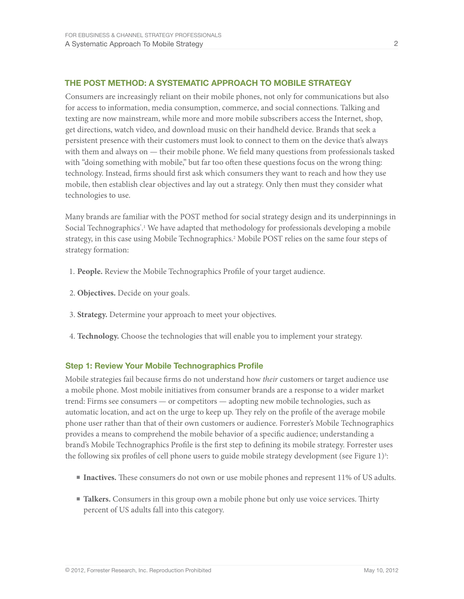#### The POST Method: A systematic approach to Mobile strategy

Consumers are increasingly reliant on their mobile phones, not only for communications but also for access to information, media consumption, commerce, and social connections. Talking and texting are now mainstream, while more and more mobile subscribers access the Internet, shop, get directions, watch video, and download music on their handheld device. Brands that seek a persistent presence with their customers must look to connect to them on the device that's always with them and always on — their mobile phone. We field many questions from professionals tasked with "doing something with mobile," but far too often these questions focus on the wrong thing: technology. Instead, firms should first ask which consumers they want to reach and how they use mobile, then establish clear objectives and lay out a strategy. Only then must they consider what technologies to use.

Many brands are familiar with the POST method for social strategy design and its underpinnings in Social Technographics<sup>\*</sup>.<sup>1</sup> We have adapted that methodology for professionals developing a mobile strategy, in this case using Mobile Technographics.2 Mobile POST relies on the same four steps of strategy formation:

- 1. **People.** Review the Mobile Technographics Profile of your target audience.
- 2. **Objectives.** Decide on your goals.
- 3. **Strategy.** Determine your approach to meet your objectives.
- 4. **Technology.** Choose the technologies that will enable you to implement your strategy.

#### Step 1: Review Your Mobile Technographics Profile

Mobile strategies fail because firms do not understand how *their* customers or target audience use a mobile phone. Most mobile initiatives from consumer brands are a response to a wider market trend: Firms see consumers — or competitors — adopting new mobile technologies, such as automatic location, and act on the urge to keep up. They rely on the profile of the average mobile phone user rather than that of their own customers or audience. Forrester's Mobile Technographics provides a means to comprehend the mobile behavior of a specific audience; understanding a brand's Mobile Technographics Profile is the first step to defining its mobile strategy. Forrester uses the following six profiles of cell phone users to guide mobile strategy development (see Figure 1)<sup>3</sup>:

- **Inactives.** These consumers do not own or use mobile phones and represent 11% of US adults.
- **Talkers.** Consumers in this group own a mobile phone but only use voice services. Thirty percent of US adults fall into this category.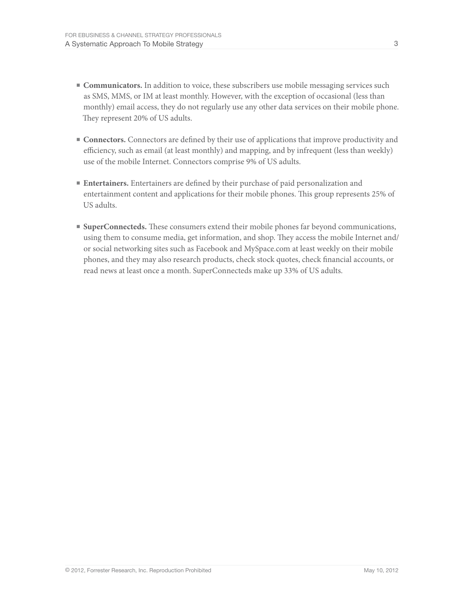- **Communicators.** In addition to voice, these subscribers use mobile messaging services such as SMS, MMS, or IM at least monthly. However, with the exception of occasional (less than monthly) email access, they do not regularly use any other data services on their mobile phone. They represent 20% of US adults.
- **■ Connectors.** Connectors are defined by their use of applications that improve productivity and efficiency, such as email (at least monthly) and mapping, and by infrequent (less than weekly) use of the mobile Internet. Connectors comprise 9% of US adults.
- **■ Entertainers.** Entertainers are defined by their purchase of paid personalization and entertainment content and applications for their mobile phones. This group represents 25% of US adults.
- **SuperConnecteds.** These consumers extend their mobile phones far beyond communications, using them to consume media, get information, and shop. They access the mobile Internet and/ or social networking sites such as Facebook and MySpace.com at least weekly on their mobile phones, and they may also research products, check stock quotes, check financial accounts, or read news at least once a month. SuperConnecteds make up 33% of US adults.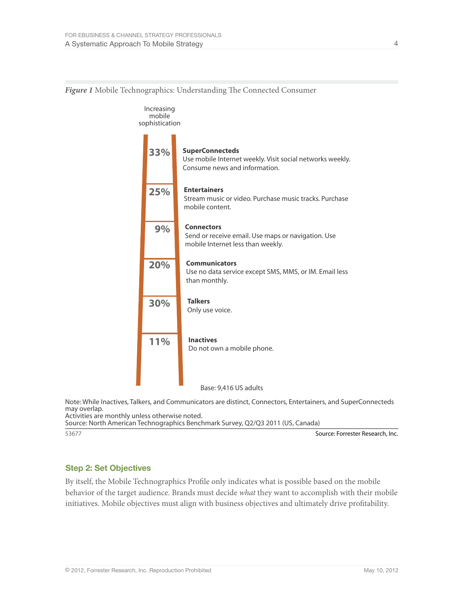

*Figure 1* Mobile Technographics: Understanding The Connected Consumer

Base: 9,416 US adults

Note: While Inactives, Talkers, and Communicators are distinct, Connectors, Entertainers, and SuperConnecteds may overlap. Activities are monthly unless otherwise noted.

Source: North American Technographics Benchmark Survey, Q2/Q3 2011 (US, Canada)

53677 Source: Forrester Research, Inc.

#### Step 2: Set Objectives

By itself, the Mobile Technographics Profile only indicates what is possible based on the mobile behavior of the target audience. Brands must decide *what* they want to accomplish with their mobile initiatives. Mobile objectives must align with business objectives and ultimately drive profitability.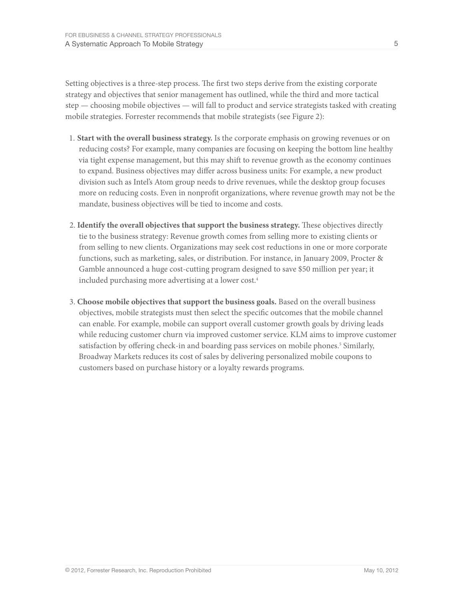Setting objectives is a three-step process. The first two steps derive from the existing corporate strategy and objectives that senior management has outlined, while the third and more tactical step — choosing mobile objectives — will fall to product and service strategists tasked with creating mobile strategies. Forrester recommends that mobile strategists (see Figure 2):

- 1. **Start with the overall business strategy.** Is the corporate emphasis on growing revenues or on reducing costs? For example, many companies are focusing on keeping the bottom line healthy via tight expense management, but this may shift to revenue growth as the economy continues to expand. Business objectives may differ across business units: For example, a new product division such as Intel's Atom group needs to drive revenues, while the desktop group focuses more on reducing costs. Even in nonprofit organizations, where revenue growth may not be the mandate, business objectives will be tied to income and costs.
- 2. **Identify the overall objectives that support the business strategy.** These objectives directly tie to the business strategy: Revenue growth comes from selling more to existing clients or from selling to new clients. Organizations may seek cost reductions in one or more corporate functions, such as marketing, sales, or distribution. For instance, in January 2009, Procter & Gamble announced a huge cost-cutting program designed to save \$50 million per year; it included purchasing more advertising at a lower cost.<sup>4</sup>
- 3. **Choose mobile objectives that support the business goals.** Based on the overall business objectives, mobile strategists must then select the specific outcomes that the mobile channel can enable. For example, mobile can support overall customer growth goals by driving leads while reducing customer churn via improved customer service. KLM aims to improve customer satisfaction by offering check-in and boarding pass services on mobile phones.<sup>5</sup> Similarly, Broadway Markets reduces its cost of sales by delivering personalized mobile coupons to customers based on purchase history or a loyalty rewards programs.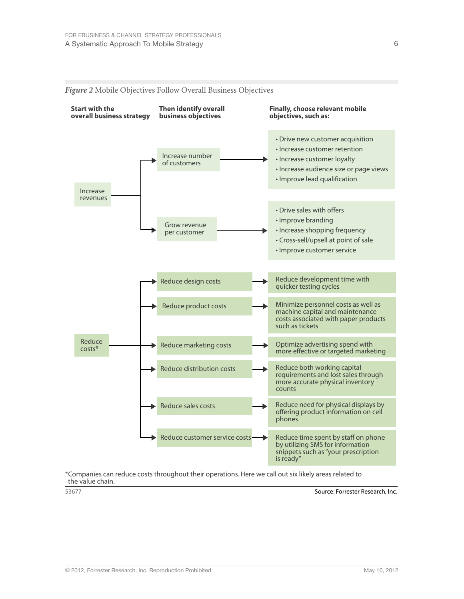

#### *Figure 2* Mobile Objectives Follow Overall Business Objectives

\*Companies can reduce costs throughout their operations. Here we call out six likely areas related to the value chain.

53677 Source: Forrester Research, Inc.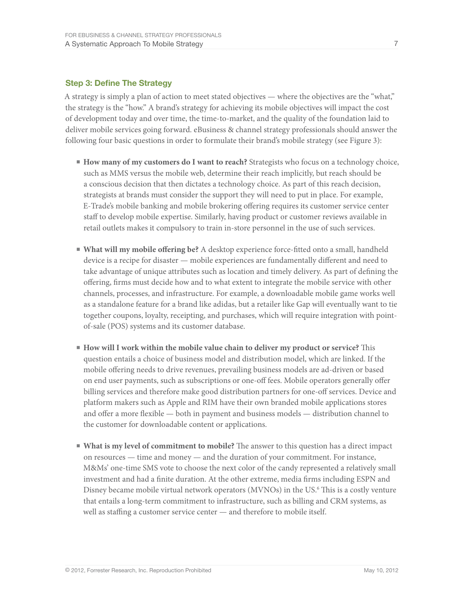#### Step 3: Define The Strategy

A strategy is simply a plan of action to meet stated objectives — where the objectives are the "what," the strategy is the "how." A brand's strategy for achieving its mobile objectives will impact the cost of development today and over time, the time-to-market, and the quality of the foundation laid to deliver mobile services going forward. eBusiness & channel strategy professionals should answer the following four basic questions in order to formulate their brand's mobile strategy (see Figure 3):

- **How many of my customers do I want to reach?** Strategists who focus on a technology choice, such as MMS versus the mobile web, determine their reach implicitly, but reach should be a conscious decision that then dictates a technology choice. As part of this reach decision, strategists at brands must consider the support they will need to put in place. For example, E-Trade's mobile banking and mobile brokering offering requires its customer service center staff to develop mobile expertise. Similarly, having product or customer reviews available in retail outlets makes it compulsory to train in-store personnel in the use of such services.
- **■ What will my mobile offering be?** A desktop experience force-fitted onto a small, handheld device is a recipe for disaster — mobile experiences are fundamentally different and need to take advantage of unique attributes such as location and timely delivery. As part of defining the offering, firms must decide how and to what extent to integrate the mobile service with other channels, processes, and infrastructure. For example, a downloadable mobile game works well as a standalone feature for a brand like adidas, but a retailer like Gap will eventually want to tie together coupons, loyalty, receipting, and purchases, which will require integration with pointof-sale (POS) systems and its customer database.
- **■ How will I work within the mobile value chain to deliver my product or service?** This question entails a choice of business model and distribution model, which are linked. If the mobile offering needs to drive revenues, prevailing business models are ad-driven or based on end user payments, such as subscriptions or one-off fees. Mobile operators generally offer billing services and therefore make good distribution partners for one-off services. Device and platform makers such as Apple and RIM have their own branded mobile applications stores and offer a more flexible — both in payment and business models — distribution channel to the customer for downloadable content or applications.
- **■ What is my level of commitment to mobile?** The answer to this question has a direct impact on resources — time and money — and the duration of your commitment. For instance, M&Ms' one-time SMS vote to choose the next color of the candy represented a relatively small investment and had a finite duration. At the other extreme, media firms including ESPN and Disney became mobile virtual network operators (MVNOs) in the US.<sup>6</sup> This is a costly venture that entails a long-term commitment to infrastructure, such as billing and CRM systems, as well as staffing a customer service center — and therefore to mobile itself.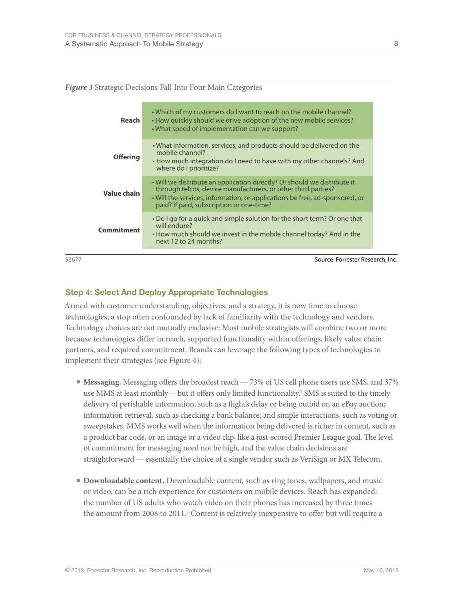*Figure 3* Strategic Decisions Fall Into Four Main Categories

| Reach           | • Which of my customers do I want to reach on the mobile channel?<br>• How quickly should we drive adoption of the new mobile services?<br>• What speed of implementation can we support?                                                                            |
|-----------------|----------------------------------------------------------------------------------------------------------------------------------------------------------------------------------------------------------------------------------------------------------------------|
| <b>Offering</b> | . What information, services, and products should be delivered on the<br>mobile channel?<br>• How much integration do I need to have with my other channels? And<br>where do I prioritize?                                                                           |
| Value chain     | . Will we distribute an application directly? Or should we distribute it<br>through telcos, device manufacturers, or other third parties?<br>• Will the services, information, or applications be free, ad-sponsored, or<br>paid? If paid, subscription or one-time? |
| Commitment      | • Do I go for a quick and simple solution for the short term? Or one that<br>will endure?<br>• How much should we invest in the mobile channel today? And in the<br>next 12 to 24 months?                                                                            |
|                 |                                                                                                                                                                                                                                                                      |

53677 Source: Forrester Research, Inc.

#### Step 4: Select And Deploy Appropriate Technologies

Armed with customer understanding, objectives, and a strategy, it is now time to choose technologies, a stop often confounded by lack of familiarity with the technology and vendors. Technology choices are not mutually exclusive: Most mobile strategists will combine two or more because technologies differ in reach, supported functionality within offerings, likely value chain partners, and required commitment. Brands can leverage the following types of technologies to implement their strategies (see Figure 4):

- **■ Messaging.** Messaging offers the broadest reach 73% of US cell phone users use SMS, and 37% use MMS at least monthly— but it offers only limited functionality.7 SMS is suited to the timely delivery of perishable information, such as a flight's delay or being outbid on an eBay auction; information retrieval, such as checking a bank balance; and simple interactions, such as voting or sweepstakes. MMS works well when the information being delivered is richer in content, such as a product bar code, or an image or a video clip, like a just-scored Premier League goal. The level of commitment for messaging need not be high, and the value chain decisions are straightforward — essentially the choice of a single vendor such as VeriSign or MX Telecom.
- **Downloadable content.** Downloadable content, such as ring tones, wallpapers, and music or video, can be a rich experience for customers on mobile devices. Reach has expanded: the number of US adults who watch video on their phones has increased by three times the amount from 2008 to 2011.<sup>8</sup> Content is relatively inexpensive to offer but will require a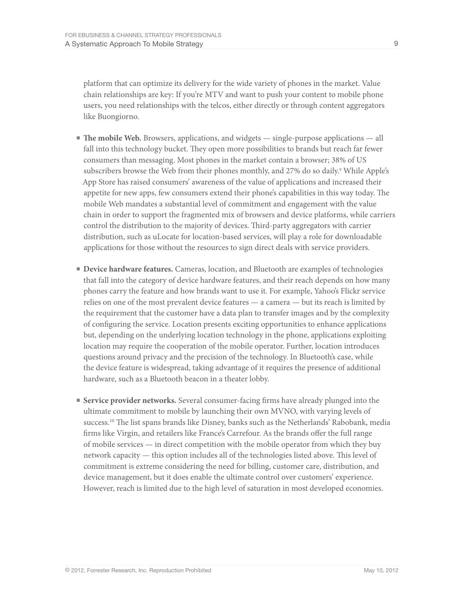platform that can optimize its delivery for the wide variety of phones in the market. Value chain relationships are key: If you're MTV and want to push your content to mobile phone users, you need relationships with the telcos, either directly or through content aggregators like Buongiorno.

- **■ The mobile Web.** Browsers, applications, and widgets single-purpose applications all fall into this technology bucket. They open more possibilities to brands but reach far fewer consumers than messaging. Most phones in the market contain a browser; 38% of US subscribers browse the Web from their phones monthly, and 27% do so daily.<sup>9</sup> While Apple's App Store has raised consumers' awareness of the value of applications and increased their appetite for new apps, few consumers extend their phone's capabilities in this way today. The mobile Web mandates a substantial level of commitment and engagement with the value chain in order to support the fragmented mix of browsers and device platforms, while carriers control the distribution to the majority of devices. Third-party aggregators with carrier distribution, such as uLocate for location-based services, will play a role for downloadable applications for those without the resources to sign direct deals with service providers.
- **Device hardware features.** Cameras, location, and Bluetooth are examples of technologies that fall into the category of device hardware features, and their reach depends on how many phones carry the feature and how brands want to use it. For example, Yahoo's Flickr service relies on one of the most prevalent device features — a camera — but its reach is limited by the requirement that the customer have a data plan to transfer images and by the complexity of configuring the service. Location presents exciting opportunities to enhance applications but, depending on the underlying location technology in the phone, applications exploiting location may require the cooperation of the mobile operator. Further, location introduces questions around privacy and the precision of the technology. In Bluetooth's case, while the device feature is widespread, taking advantage of it requires the presence of additional hardware, such as a Bluetooth beacon in a theater lobby.
- **■ Service provider networks.** Several consumer-facing firms have already plunged into the ultimate commitment to mobile by launching their own MVNO, with varying levels of success.<sup>10</sup> The list spans brands like Disney, banks such as the Netherlands' Rabobank, media firms like Virgin, and retailers like France's Carrefour. As the brands offer the full range of mobile services — in direct competition with the mobile operator from which they buy network capacity — this option includes all of the technologies listed above. This level of commitment is extreme considering the need for billing, customer care, distribution, and device management, but it does enable the ultimate control over customers' experience. However, reach is limited due to the high level of saturation in most developed economies.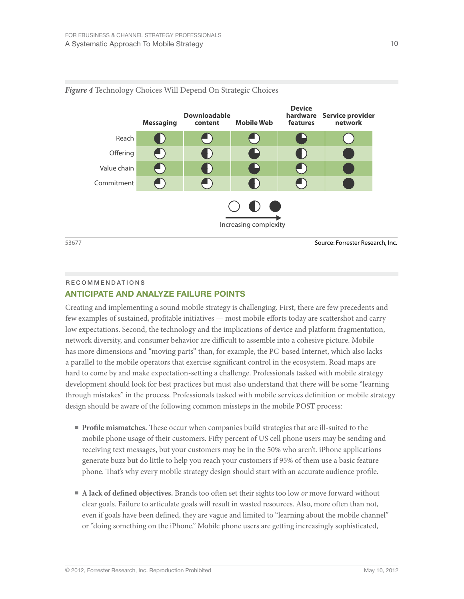

#### *Figure 4* Technology Choices Will Depend On Strategic Choices

53677 Source: Forrester Research, Inc.

#### Recommendations anticipate and analyze failure points

Creating and implementing a sound mobile strategy is challenging. First, there are few precedents and few examples of sustained, profitable initiatives — most mobile efforts today are scattershot and carry low expectations. Second, the technology and the implications of device and platform fragmentation, network diversity, and consumer behavior are difficult to assemble into a cohesive picture. Mobile has more dimensions and "moving parts" than, for example, the PC-based Internet, which also lacks a parallel to the mobile operators that exercise significant control in the ecosystem. Road maps are hard to come by and make expectation-setting a challenge. Professionals tasked with mobile strategy development should look for best practices but must also understand that there will be some "learning through mistakes" in the process. Professionals tasked with mobile services definition or mobile strategy design should be aware of the following common missteps in the mobile POST process:

- **■ Profile mismatches.** These occur when companies build strategies that are ill-suited to the mobile phone usage of their customers. Fifty percent of US cell phone users may be sending and receiving text messages, but your customers may be in the 50% who aren't. iPhone applications generate buzz but do little to help you reach your customers if 95% of them use a basic feature phone. That's why every mobile strategy design should start with an accurate audience profile.
- **A lack of defined objectives.** Brands too often set their sights too low *or* move forward without clear goals. Failure to articulate goals will result in wasted resources. Also, more often than not, even if goals have been defined, they are vague and limited to "learning about the mobile channel" or "doing something on the iPhone." Mobile phone users are getting increasingly sophisticated,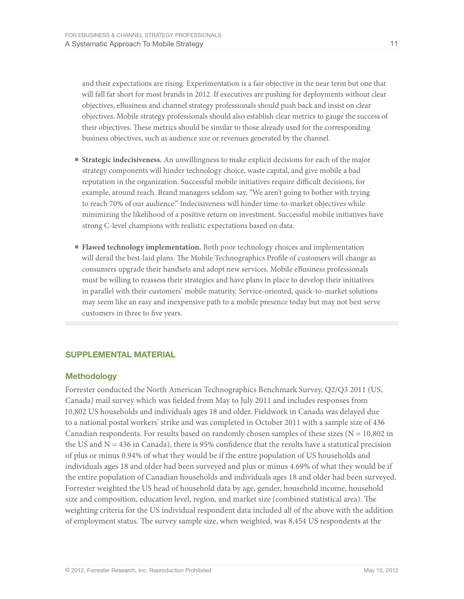and their expectations are rising. Experimentation is a fair objective in the near term but one that will fall far short for most brands in 2012. If executives are pushing for deployments without clear objectives, eBusiness and channel strategy professionals should push back and insist on clear objectives. Mobile strategy professionals should also establish clear metrics to gauge the success of their objectives. These metrics should be similar to those already used for the corresponding business objectives, such as audience size or revenues generated by the channel.

- **■ Strategic indecisiveness.** An unwillingness to make explicit decisions for each of the major strategy components will hinder technology choice, waste capital, and give mobile a bad reputation in the organization. Successful mobile initiatives require difficult decisions, for example, around reach. Brand managers seldom say, "We aren't going to bother with trying to reach 70% of our audience." Indecisiveness will hinder time-to-market objectives while minimizing the likelihood of a positive return on investment. Successful mobile initiatives have strong C-level champions with realistic expectations based on data.
- **Flawed technology implementation**. Both poor technology choices and implementation will derail the best-laid plans. The Mobile Technographics Profile of customers will change as consumers upgrade their handsets and adopt new services. Mobile eBusiness professionals must be willing to reassess their strategies and have plans in place to develop their initiatives in parallel with their customers' mobile maturity. Service-oriented, quick-to-market solutions may seem like an easy and inexpensive path to a mobile presence today but may not best serve customers in three to five years.

#### supplemental material

#### **Methodology**

Forrester conducted the North American Technographics Benchmark Survey, Q2/Q3 2011 (US, Canada) mail survey which was fielded from May to July 2011 and includes responses from 10,802 US households and individuals ages 18 and older. Fieldwork in Canada was delayed due to a national postal workers' strike and was completed in October 2011 with a sample size of 436 Canadian respondents. For results based on randomly chosen samples of these sizes ( $N = 10,802$  in the US and  $N = 436$  in Canada), there is 95% confidence that the results have a statistical precision of plus or minus 0.94% of what they would be if the entire population of US households and individuals ages 18 and older had been surveyed and plus or minus 4.69% of what they would be if the entire population of Canadian households and individuals ages 18 and older had been surveyed. Forrester weighted the US head of household data by age, gender, household income, household size and composition, education level, region, and market size (combined statistical area). The weighting criteria for the US individual respondent data included all of the above with the addition of employment status. The survey sample size, when weighted, was 8,454 US respondents at the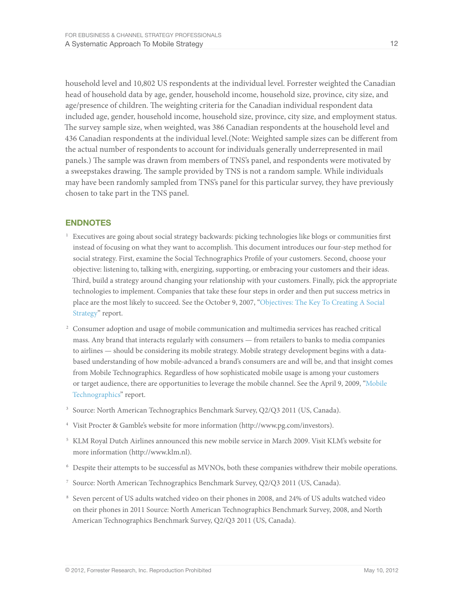household level and 10,802 US respondents at the individual level. Forrester weighted the Canadian head of household data by age, gender, household income, household size, province, city size, and age/presence of children. The weighting criteria for the Canadian individual respondent data included age, gender, household income, household size, province, city size, and employment status. The survey sample size, when weighted, was 386 Canadian respondents at the household level and 436 Canadian respondents at the individual level.(Note: Weighted sample sizes can be different from the actual number of respondents to account for individuals generally underrepresented in mail panels.) The sample was drawn from members of TNS's panel, and respondents were motivated by a sweepstakes drawing. The sample provided by TNS is not a random sample. While individuals may have been randomly sampled from TNS's panel for this particular survey, they have previously chosen to take part in the TNS panel.

#### **ENDNOTES**

- <sup>1</sup> Executives are going about social strategy backwards: picking technologies like blogs or communities first instead of focusing on what they want to accomplish. This document introduces our four-step method for social strategy. First, examine the Social Technographics Profile of your customers. Second, choose your objective: listening to, talking with, energizing, supporting, or embracing your customers and their ideas. Third, build a strategy around changing your relationship with your customers. Finally, pick the appropriate technologies to implement. Companies that take these four steps in order and then put success metrics in place are the most likely to succeed. See the October 9, 2007, ["Objectives: The Key To Creating A Social](http://www.forrester.com/go?objectid=RES43656)  [Strategy"](http://www.forrester.com/go?objectid=RES43656) report.
- <sup>2</sup> Consumer adoption and usage of mobile communication and multimedia services has reached critical mass. Any brand that interacts regularly with consumers — from retailers to banks to media companies to airlines — should be considering its mobile strategy. Mobile strategy development begins with a databased understanding of how mobile-advanced a brand's consumers are and will be, and that insight comes from Mobile Technographics. Regardless of how sophisticated mobile usage is among your customers or target audience, there are opportunities to leverage the mobile channel. See the April 9, 2009, "[Mobile](http://www.forrester.com/go?objectid=RES53618)  [Technographics"](http://www.forrester.com/go?objectid=RES53618) report.
- <sup>3</sup> Source: North American Technographics Benchmark Survey, Q2/Q3 2011 (US, Canada).
- <sup>4</sup> Visit Procter & Gamble's website for more information (http://www.pg.com/investors).
- <sup>5</sup> KLM Royal Dutch Airlines announced this new mobile service in March 2009. Visit KLM's website for more information (http://www.klm.nl).
- <sup>6</sup> Despite their attempts to be successful as MVNOs, both these companies withdrew their mobile operations.
- <sup>7</sup> Source: North American Technographics Benchmark Survey, Q2/Q3 2011 (US, Canada).
- <sup>8</sup> Seven percent of US adults watched video on their phones in 2008, and 24% of US adults watched video on their phones in 2011 Source: North American Technographics Benchmark Survey, 2008, and North American Technographics Benchmark Survey, Q2/Q3 2011 (US, Canada).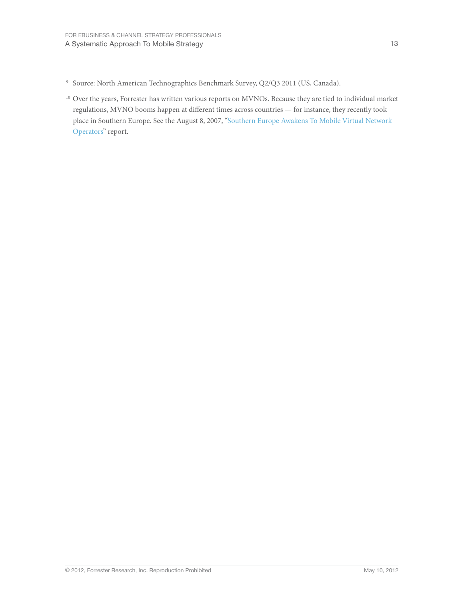- <sup>9</sup> Source: North American Technographics Benchmark Survey, Q2/Q3 2011 (US, Canada).
- <sup>10</sup> Over the years, Forrester has written various reports on MVNOs. Because they are tied to individual market regulations, MVNO booms happen at different times across countries — for instance, they recently took place in Southern Europe. See the August 8, 2007, ["Southern Europe Awakens To Mobile Virtual Network](http://www.forrester.com/go?objectid=RES42749)  [Operators"](http://www.forrester.com/go?objectid=RES42749) report.